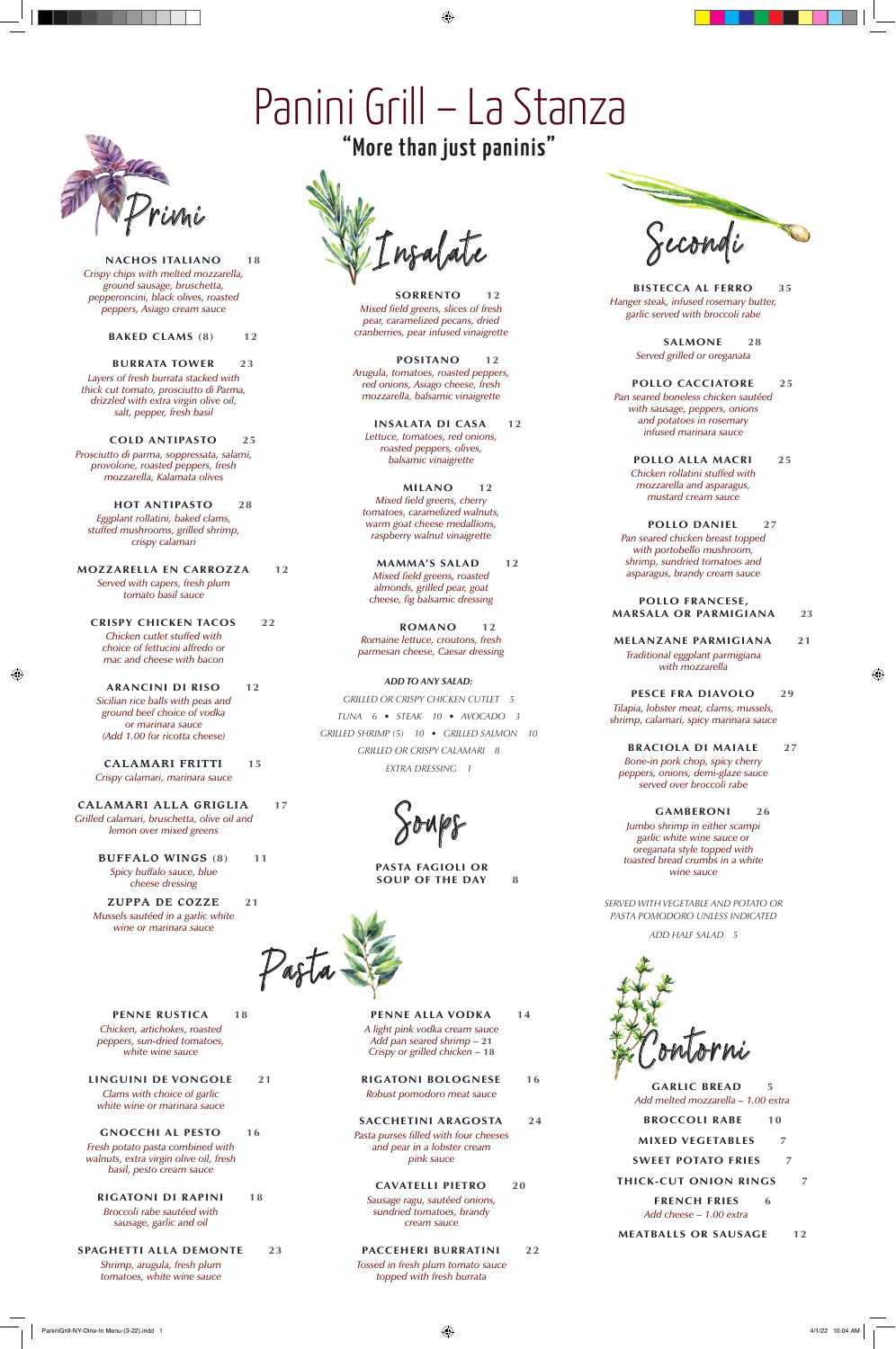

**NACHOS ITALIANO 18** *Crispy chips with melted mozzarella, ground sausage, bruschetta, pepperoncini, black olives, roasted peppers, Asiago cream sauce*

**BAKED CLAMS (8) 12**

**BURRATA TOWER 23** *Layers of fresh burrata stacked with thick cut tomato, prosciutto di Parma, drizzled with extra virgin olive oil, salt, pepper, fresh basil*

**COLD ANTIPASTO 25** *Prosciutto di parma, soppressata, salami, provolone, roasted peppers, fresh mozzarella, Kalamata olives*

**HOT ANTIPASTO 28** *Eggplant rollatini, baked clams, stuffed mushrooms, grilled shrimp, crispy calamari*

**MOZZARELLA EN CARROZZA 12** *Served with capers, fresh plum tomato basil sauce*

**CRISPY CHICKEN TACOS 22** *Chicken cutlet stuffed with choice of fettucini alfredo or mac and cheese with bacon*

**ARANCINI DI RISO 12** *Sicilian rice balls with peas and ground beef choice of vodka or marinara sauce (Add 1.00 for ricotta cheese)*

 $\bigoplus$ 

**CALAMARI FRITTI 15** *Crispy calamari, marinara sauce*

**CALAMARI ALLA GRIGLIA 17** *Grilled calamari, bruschetta, olive oil and lemon over mixed greens*

**BUFFALO WINGS (8) 11** *Spicy buffalo sauce, blue cheese dressing*

**ZUPPA DE COZZE 21** *Mussels sautéed in a garlic white wine or marinara sauce*



**SORRENTO 12** *Mixed field greens, slices of fresh pear, caramelized pecans, dried cranberries, pear infused vinaigrette*

**POSITANO 12** *Arugula, tomatoes, roasted peppers, red onions, Asiago cheese, fresh mozzarella, balsamic vinaigrette*

**INSALATA DI CASA 12** *Lettuce, tomatoes, red onions, roasted peppers, olives, balsamic vinaigrette*

**MILANO 12** *Mixed field greens, cherry tomatoes, caramelized walnuts, warm goat cheese medallions, raspberry walnut vinaigrette*

**MAMMA'S SALAD 12** *Mixed field greens, roasted almonds, grilled pear, goat cheese, fig balsamic dressing*

**ROMANO 12** *Romaine lettuce, croutons, fresh parmesan cheese, Caesar dressing*

*ADD TO ANY SALAD:*

**PENNE ALLA VODKA** 14 *A light pink vodka cream sauce Add pan seared shrimp –* **21** *Crispy or grilled chicken –* **18**

*GRILLED OR CRISPY CHICKEN CUTLET 5 TUNA 6 • STEAK 10 • AVOCADO 3 GRILLED SHRIMP (5) 10 • GRILLED SALMON 10 GRILLED OR CRISPY CALAMARI 8 EXTRA DRESSING 1*

 $x0008$ 



**BISTECCA AL FERRO 35** *Hanger steak, infused rosemary butter, garlic served with broccoli rabe*

**PASTA FAGIOLI OR SOUP OF THE DAY 8** 



**SALMONE 28** *Served grilled or oreganata*

**POLLO CACCIATORE 25** *Pan seared boneless chicken sautéed* 

*with sausage, peppers, onions and potatoes in rosemary infused marinara sauce*

**POLLO ALLA MACRI 25** *Chicken rollatini stuffed with mozzarella and asparagus, mustard cream sauce*

**POLLO DANIEL 27** *Pan seared chicken breast topped with portobello mushroom, shrimp, sundried tomatoes and asparagus, brandy cream sauce*

## **POLLO FRANCESE, MARSALA OR PARMIGIANA 23**

**MELANZANE PARMIGIANA 21** *Traditional eggplant parmigiana with mozzarella*

⊕

**PESCE FRA DIAVOLO 29** *Tilapia, lobster meat, clams, mussels, shrimp, calamari, spicy marinara sauce*

**BRACIOLA DI MAIALE 27** *Bone-in pork chop, spicy cherry peppers, onions, demi-glaze sauce served over broccoli rabe*

**GAMBERONI 26** *Jumbo shrimp in either scampi garlic white wine sauce or oreganata style topped with toasted bread crumbs in a white wine sauce*

*SERVED WITH VEGETABLE AND POTATO OR PASTA POMODORO UNLESS INDICATED*

*ADD HALF SALAD 5*

## Panini Grill – La Stanza

⊕

## "More than just paninis"



**PENNE RUSTICA** 18

*Chicken, artichokes, roasted peppers, sun-dried tomatoes, white wine sauce*

**LINGUINI DE VONGOLE 21**

*Clams with choice of garlic white wine or marinara sauce*

**GNOCCHI AL PESTO 16**

*Fresh potato pasta combined with walnuts, extra virgin olive oil, fresh basil, pesto cream sauce*

**RIGATONI DI RAPINI 18** *Broccoli rabe sautéed with* 

*sausage, garlic and oil*

**SPAGHETTI ALLA DEMONTE 23**

*Shrimp, arugula, fresh plum tomatoes, white wine sauce* **RIGATONI BOLOGNESE 16** *Robust pomodoro meat sauce*

**SACCHETINI ARAGOSTA 24** *Pasta purses filled with four cheeses and pear in a lobster cream pink sauce*

**CAVATELLI PIETRO 20** *Sausage ragu, sautéed onions, sundried tomatoes, brandy cream sauce*

**PACCEHERI BURRATINI 22** *Tossed in fresh plum tomato sauce topped with fresh burrata*



**GARLIC BREAD 5** *Add melted mozzarella – 1.00 extra*

- **BROCCOLI RABE 10**
- **MIXED VEGETABLES 7**
- **SWEET POTATO FRIES 7**
- **THICK-CUT ONION RINGS 7**
	- **FRENCH FRIES 6** *Add cheese – 1.00 extra*
- **MEATBALLS OR SAUSAGE 12**